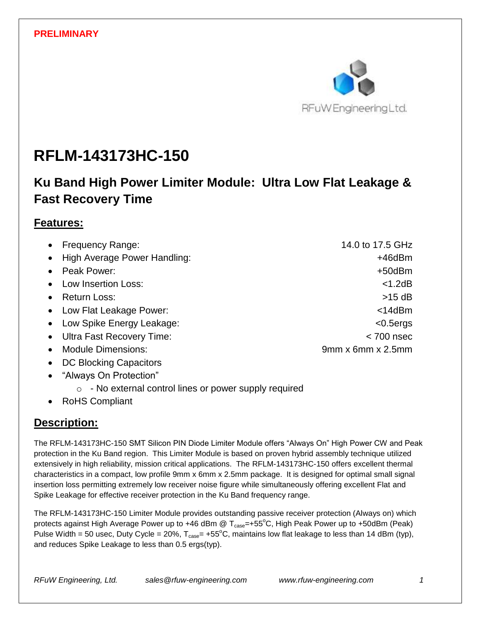

# **RFLM-143173HC-150**

# **Ku Band High Power Limiter Module: Ultra Low Flat Leakage & Fast Recovery Time**

### **Features:**

| • Frequency Range:                     | 14.0 to 17.5 GHz              |
|----------------------------------------|-------------------------------|
| • High Average Power Handling:         | +46dBm                        |
| • Peak Power:                          | +50dBm                        |
| • Low Insertion Loss:                  | $<$ 1.2dB                     |
| • Return Loss:                         | $>15$ dB                      |
| • Low Flat Leakage Power:              | $<$ 14dBm                     |
| • Low Spike Energy Leakage:            | $<$ 0.5 $ergs$                |
| • Ultra Fast Recovery Time:            | $<$ 700 nsec                  |
| <b>Module Dimensions:</b><br>$\bullet$ | $9mm \times 6mm \times 2.5mm$ |
| DC Blocking Capacitors<br>$\bullet$    |                               |
| • "Alwaye On Protection"               |                               |

- 'Always On Protection'
	- o No external control lines or power supply required
- RoHS Compliant

### **Description:**

The RFLM-143173HC-150 SMT Silicon PIN Diode Limiter Module offers "Always On" High Power CW and Peak protection in the Ku Band region. This Limiter Module is based on proven hybrid assembly technique utilized extensively in high reliability, mission critical applications. The RFLM-143173HC-150 offers excellent thermal characteristics in a compact, low profile 9mm x 6mm x 2.5mm package. It is designed for optimal small signal insertion loss permitting extremely low receiver noise figure while simultaneously offering excellent Flat and Spike Leakage for effective receiver protection in the Ku Band frequency range.

The RFLM-143173HC-150 Limiter Module provides outstanding passive receiver protection (Always on) which protects against High Average Power up to +46 dBm @  $T_{\text{case}}$ =+55°C, High Peak Power up to +50dBm (Peak) Pulse Width = 50 usec, Duty Cycle = 20%,  $T_{case}$ = +55°C, maintains low flat leakage to less than 14 dBm (typ), and reduces Spike Leakage to less than 0.5 ergs(typ).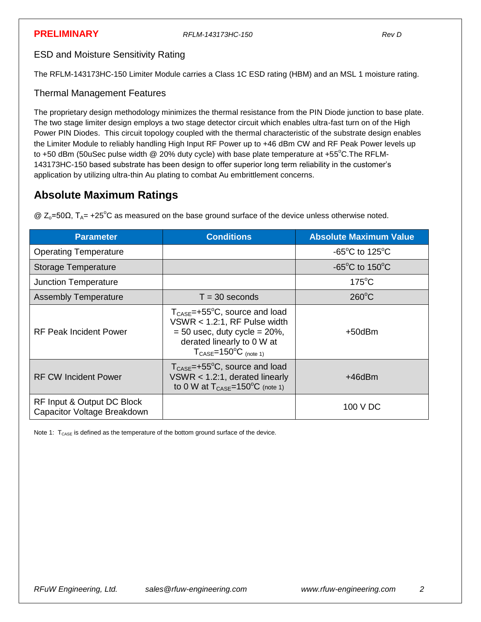ESD and Moisture Sensitivity Rating

The RFLM-143173HC-150 Limiter Module carries a Class 1C ESD rating (HBM) and an MSL 1 moisture rating.

### Thermal Management Features

The proprietary design methodology minimizes the thermal resistance from the PIN Diode junction to base plate. The two stage limiter design employs a two stage detector circuit which enables ultra-fast turn on of the High Power PIN Diodes. This circuit topology coupled with the thermal characteristic of the substrate design enables the Limiter Module to reliably handling High Input RF Power up to +46 dBm CW and RF Peak Power levels up to +50 dBm (50uSec pulse width @ 20% duty cycle) with base plate temperature at +55°C. The RFLM-143173HC-150 based substrate has been design to offer superior long term reliability in the customer's application by utilizing ultra-thin Au plating to combat Au embrittlement concerns.

### **Absolute Maximum Ratings**

| <b>Parameter</b>                                          | <b>Conditions</b>                                                                                                                                                                                              | <b>Absolute Maximum Value</b>                        |
|-----------------------------------------------------------|----------------------------------------------------------------------------------------------------------------------------------------------------------------------------------------------------------------|------------------------------------------------------|
| <b>Operating Temperature</b>                              |                                                                                                                                                                                                                | $-65^{\circ}$ C to 125 $^{\circ}$ C                  |
| <b>Storage Temperature</b>                                |                                                                                                                                                                                                                | -65 $\mathrm{^{\circ}C}$ to 150 $\mathrm{^{\circ}C}$ |
| <b>Junction Temperature</b>                               |                                                                                                                                                                                                                | $175^{\circ}$ C                                      |
| <b>Assembly Temperature</b>                               | $T = 30$ seconds                                                                                                                                                                                               | $260^{\circ}$ C                                      |
| <b>RF Peak Incident Power</b>                             | $T_{\text{CASE}} = +55^{\circ}C$ , source and load<br>VSWR $<$ 1.2:1, RF Pulse width<br>$= 50$ usec, duty cycle $= 20\%$ ,<br>derated linearly to 0 W at<br>$T_{\text{CASE}} = 150^{\circ}C_{\text{(note 1)}}$ | +50dBm                                               |
| <b>RF CW Incident Power</b>                               | $T_{\text{CASE}} = +55^{\circ}C$ , source and load<br>$VSWR < 1.2:1$ , derated linearly<br>to 0 W at $T_{\text{CASE}} = 150^{\circ}C$ (note 1)                                                                 | +46dBm                                               |
| RF Input & Output DC Block<br>Capacitor Voltage Breakdown |                                                                                                                                                                                                                | 100 V DC                                             |

 $\textcircled{2}$  Z<sub>o</sub>=50Ω, T<sub>A</sub> = +25<sup>o</sup>C as measured on the base ground surface of the device unless otherwise noted.

Note 1:  $T_{\text{CASE}}$  is defined as the temperature of the bottom ground surface of the device.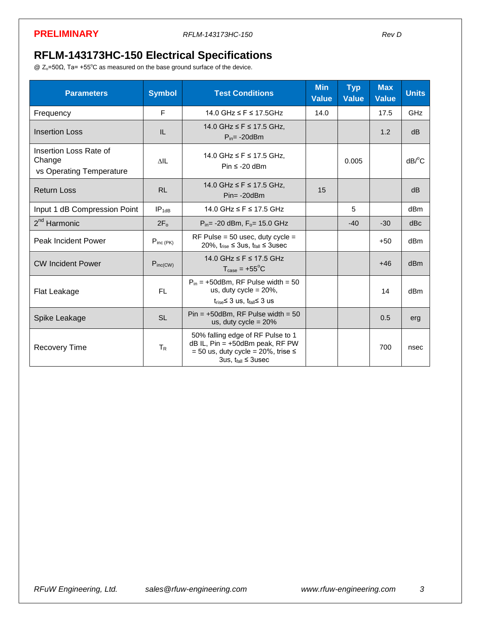# **RFLM-143173HC-150 Electrical Specifications**

@ Zo=50Ω, Ta= +55 <sup>o</sup>C as measured on the base ground surface of the device.

| <b>Parameters</b>                                            | <b>Symbol</b>      | <b>Test Conditions</b>                                                                                                                            | <b>Min</b><br><b>Value</b> | <b>Typ</b><br><b>Value</b> | <b>Max</b><br><b>Value</b> | <b>Units</b>          |
|--------------------------------------------------------------|--------------------|---------------------------------------------------------------------------------------------------------------------------------------------------|----------------------------|----------------------------|----------------------------|-----------------------|
| Frequency                                                    | E                  | 14.0 GHz $\leq$ F $\leq$ 17.5GHz                                                                                                                  | 14.0                       |                            | 17.5                       | <b>GHz</b>            |
| <b>Insertion Loss</b>                                        | IL                 | 14.0 GHz ≤ F ≤ 17.5 GHz.<br>$P_{in} = -20dBm$                                                                                                     |                            |                            | 1.2                        | dB                    |
| Insertion Loss Rate of<br>Change<br>vs Operating Temperature | <b>AIL</b>         | 14.0 GHz ≤ F ≤ 17.5 GHz,<br>Pin $\leq$ -20 dBm                                                                                                    |                            | 0.005                      |                            | $dB$ <sup>o</sup> $C$ |
| <b>Return Loss</b>                                           | <b>RL</b>          | 14.0 GHz ≤ F ≤ 17.5 GHz,<br>$Pin = -20dBm$                                                                                                        | 15                         |                            |                            | dB                    |
| Input 1 dB Compression Point                                 | IP <sub>1</sub> dB | 14.0 GHz ≤ F ≤ 17.5 GHz                                                                                                                           |                            | 5                          |                            | dB <sub>m</sub>       |
| 2 <sup>nd</sup> Harmonic                                     | $2F_0$             | $P_{in}$ -20 dBm, $F_{o}$ = 15.0 GHz                                                                                                              |                            | $-40$                      | $-30$                      | dBc                   |
| <b>Peak Incident Power</b>                                   | $P_{inc(PK)}$      | RF Pulse = $50$ usec, duty cycle =<br>20%, $t_{rise} \leq 3$ us, $t_{fall} \leq 3$ usec                                                           |                            |                            | $+50$                      | dB <sub>m</sub>       |
| <b>CW Incident Power</b>                                     | $P_{inc(CW)}$      | 14.0 GHz ≤ F ≤ 17.5 GHz<br>$T_{\text{case}} = +55^{\circ}C$                                                                                       |                            |                            | $+46$                      | dB <sub>m</sub>       |
| Flat Leakage                                                 | FL.                | $P_{in}$ = +50dBm, RF Pulse width = 50<br>us, duty cycle = $20\%$ ,<br>$t_{rise} \leq 3$ us, $t_{fall} \leq 3$ us                                 |                            |                            | 14                         | dB <sub>m</sub>       |
| Spike Leakage                                                | <b>SL</b>          | $Pin = +50dBm$ , RF Pulse width = 50<br>us, duty cycle = $20\%$                                                                                   |                            |                            | 0.5                        | erg                   |
| <b>Recovery Time</b>                                         | $T_{\rm R}$        | 50% falling edge of RF Pulse to 1<br>$dB$ IL, Pin = +50dBm peak, RF PW<br>$= 50$ us, duty cycle = 20%, trise $\le$<br>3us, $t_{fall} \leq 3$ usec |                            |                            | 700                        | nsec                  |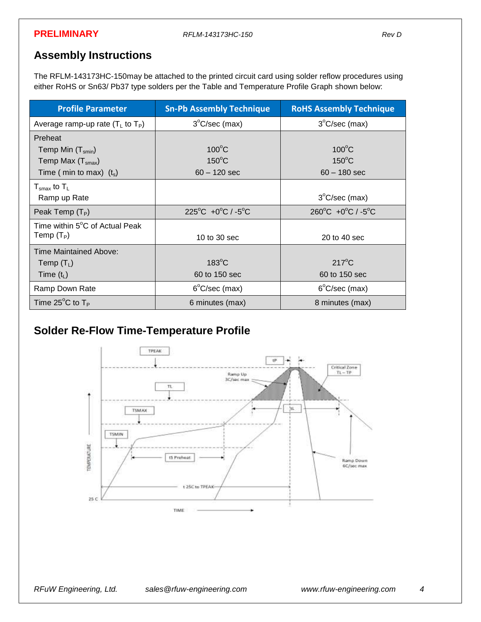### **Assembly Instructions**

The RFLM-143173HC-150may be attached to the printed circuit card using solder reflow procedures using either RoHS or Sn63/ Pb37 type solders per the Table and Temperature Profile Graph shown below:

| <b>Profile Parameter</b>                                                             | <b>Sn-Pb Assembly Technique</b>                      | <b>RoHS Assembly Technique</b>                       |
|--------------------------------------------------------------------------------------|------------------------------------------------------|------------------------------------------------------|
| Average ramp-up rate $(T_L$ to $T_P$ )                                               | $3^{\circ}$ C/sec (max)                              | $3^{\circ}$ C/sec (max)                              |
| Preheat<br>Temp Min $(T_{smin})$<br>Temp Max $(Tsmax)$<br>Time ( min to max) $(t_s)$ | $100^{\circ}$ C<br>$150^{\circ}$ C<br>$60 - 120$ sec | $100^{\circ}$ C<br>$150^{\circ}$ C<br>$60 - 180$ sec |
| $T_{\rm smax}$ to $T_{\rm L}$<br>Ramp up Rate                                        |                                                      | $3^{\circ}$ C/sec (max)                              |
| Peak Temp $(T_P)$                                                                    | $225^{\circ}$ C +0 $^{\circ}$ C / -5 $^{\circ}$ C    | $260^{\circ}$ C +0 $^{\circ}$ C / -5 $^{\circ}$ C    |
| Time within 5°C of Actual Peak<br>Temp $(T_P)$                                       | 10 to 30 sec                                         | 20 to 40 sec                                         |
| Time Maintained Above:<br>Temp $(T_L)$<br>Time $(t_L)$                               | $183^{\circ}$ C<br>60 to 150 sec                     | $217^{\circ}$ C<br>60 to 150 sec                     |
| Ramp Down Rate                                                                       | $6^{\circ}$ C/sec (max)                              | $6^{\circ}$ C/sec (max)                              |
| Time 25 $^{\circ}$ C to T <sub>P</sub>                                               | 6 minutes (max)                                      | 8 minutes (max)                                      |

# **Solder Re-Flow Time-Temperature Profile**

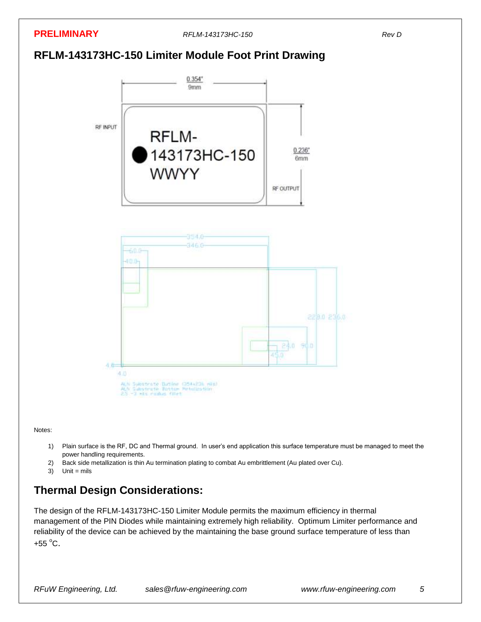

**PRELIMINARY** *RFLM-143173HC-150 Rev D*

# **RFLM-143173HC-150 Limiter Module Foot Print Drawing**



Notes:

- 1) Plain surface is the RF, DC and Thermal ground. In user's end application this surface temperature must be managed to meet the power handling requirements.
- 2) Back side metallization is thin Au termination plating to combat Au embrittlement (Au plated over Cu).
- $3)$  Unit = mils

# **Thermal Design Considerations:**

The design of the RFLM-143173HC-150 Limiter Module permits the maximum efficiency in thermal management of the PIN Diodes while maintaining extremely high reliability. Optimum Limiter performance and reliability of the device can be achieved by the maintaining the base ground surface temperature of less than  $+55^{\circ}$ C.